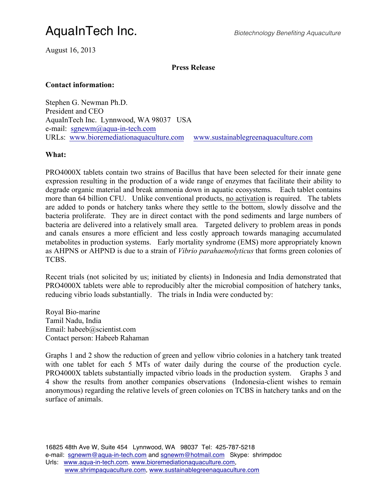## AquaInTech Inc. *Biotechnology Benefiting Aquaculture*

August 16, 2013

#### **Press Release**

#### **Contact information:**

Stephen G. Newman Ph.D. President and CEO AquaInTech Inc. Lynnwood, WA 98037 USA e-mail: sgnewm@aqua-in-tech.com URLs: www.bioremediationaquaculture.com www.sustainablegreenaquaculture.com

#### **What:**

PRO4000X tablets contain two strains of Bacillus that have been selected for their innate gene expression resulting in the production of a wide range of enzymes that facilitate their ability to degrade organic material and break ammonia down in aquatic ecosystems. Each tablet contains more than 64 billion CFU. Unlike conventional products, no activation is required. The tablets are added to ponds or hatchery tanks where they settle to the bottom, slowly dissolve and the bacteria proliferate. They are in direct contact with the pond sediments and large numbers of bacteria are delivered into a relatively small area. Targeted delivery to problem areas in ponds and canals ensures a more efficient and less costly approach towards managing accumulated metabolites in production systems. Early mortality syndrome (EMS) more appropriately known as AHPNS or AHPND is due to a strain of *Vibrio parahaemolyticus* that forms green colonies of TCBS.

Recent trials (not solicited by us; initiated by clients) in Indonesia and India demonstrated that PRO4000X tablets were able to reproducibly alter the microbial composition of hatchery tanks, reducing vibrio loads substantially. The trials in India were conducted by:

Royal Bio-marine Tamil Nadu, India Email: habeeb@scientist.com Contact person: Habeeb Rahaman

Graphs 1 and 2 show the reduction of green and yellow vibrio colonies in a hatchery tank treated with one tablet for each 5 MTs of water daily during the course of the production cycle. PRO4000X tablets substantially impacted vibrio loads in the production system. Graphs 3 and 4 show the results from another companies observations (Indonesia-client wishes to remain anonymous) regarding the relative levels of green colonies on TCBS in hatchery tanks and on the surface of animals.

16825 48th Ave W, Suite 454 Lynnwood, WA 98037 Tel: 425-787-5218 e-mail: sgnewm@aqua-in-tech.com and sgnewm@hotmail.com Skype: shrimpdoc Urls: www.aqua-in-tech.com. www.bioremediationaquaculture.com, www.shrimpaquaculture.com, www.sustainablegreenaquaculture.com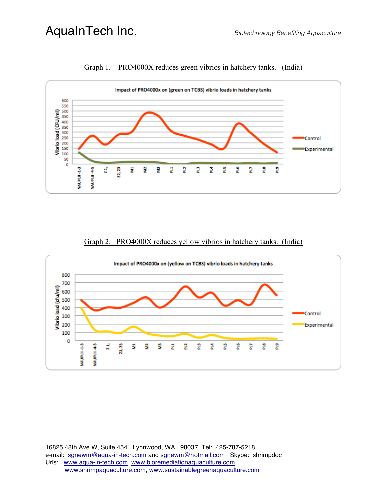

Graph 1. PRO4000X reduces green vibrios in hatchery tanks. (India)

### Graph 2. PRO4000X reduces yellow vibrios in hatchery tanks. (India)



16825 48th Ave W, Suite 454 Lynnwood, WA 98037 Tel: 425-787-5218 e-mail: sgnewm@aqua-in-tech.com and sgnewm@hotmail.com Skype: shrimpdoc Urls: www.aqua-in-tech.com. www.bioremediationaquaculture.com, www.shrimpaquaculture.com, www.sustainablegreenaquaculture.com